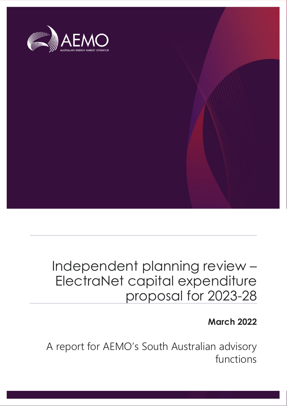

# Independent planning review – ElectraNet capital expenditure proposal for 2023-28

# **March 2022**

A report for AEMO's South Australian advisory functions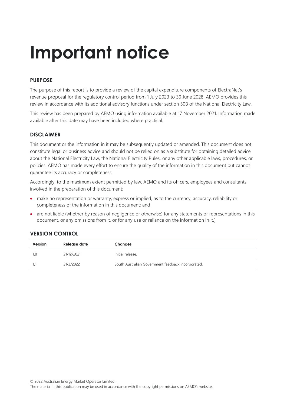# **Important notice**

## **PURPOSE**

The purpose of this report is to provide a review of the capital expenditure components of ElectraNet's revenue proposal for the regulatory control period from 1 July 2023 to 30 June 2028. AEMO provides this review in accordance with its additional advisory functions under section 50B of the National Electricity Law.

This review has been prepared by AEMO using information available at 17 November 2021. Information made available after this date may have been included where practical.

## **DISCLAIMER**

This document or the information in it may be subsequently updated or amended. This document does not constitute legal or business advice and should not be relied on as a substitute for obtaining detailed advice about the National Electricity Law, the National Electricity Rules, or any other applicable laws, procedures, or policies. AEMO has made every effort to ensure the quality of the information in this document but cannot guarantee its accuracy or completeness.

Accordingly, to the maximum extent permitted by law, AEMO and its officers, employees and consultants involved in the preparation of this document:

- make no representation or warranty, express or implied, as to the currency, accuracy, reliability or completeness of the information in this document; and
- are not liable (whether by reason of negligence or otherwise) for any statements or representations in this document, or any omissions from it, or for any use or reliance on the information in it.]

### **VERSION CONTROL**

| Version | Release date | Changes                                            |
|---------|--------------|----------------------------------------------------|
| 1.0     | 21/12/2021   | Initial release.                                   |
|         | 31/3/2022    | South Australian Government feedback incorporated. |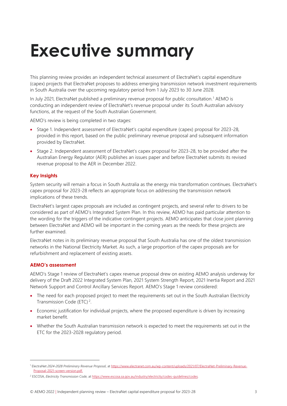# <span id="page-2-0"></span>**Executive summary**

This planning review provides an independent technical assessment of ElectraNet's capital expenditure (capex) projects that ElectraNet proposes to address emerging transmission network investment requirements in South Australia over the upcoming regulatory period from 1 July 2023 to 30 June 2028.

In July 2021, ElectraNet published a preliminary revenue proposal for public consultation.<sup>1</sup> AEMO is conducting an independent review of ElectraNet's revenue proposal under its South Australian advisory functions, at the request of the South Australian Government.

AEMO's review is being completed in two stages:

- Stage 1. Independent assessment of ElectraNet's capital expenditure (capex) proposal for 2023-28, provided in this report, based on the public preliminary revenue proposal and subsequent information provided by ElectraNet.
- Stage 2. Independent assessment of ElectraNet's capex proposal for 2023-28, to be provided after the Australian Energy Regulator (AER) publishes an issues paper and before ElectraNet submits its revised revenue proposal to the AER in December 2022.

### **Key Insights**

System security will remain a focus in South Australia as the energy mix transformation continues. ElectraNet's capex proposal for 2023-28 reflects an appropriate focus on addressing the transmission network implications of these trends.

ElectraNet's largest capex proposals are included as contingent projects, and several refer to drivers to be considered as part of AEMO's Integrated System Plan. In this review, AEMO has paid particular attention to the wording for the triggers of the indicative contingent projects. AEMO anticipates that close joint planning between ElectraNet and AEMO will be important in the coming years as the needs for these projects are further examined.

ElectraNet notes in its preliminary revenue proposal that South Australia has one of the oldest transmission networks in the National Electricity Market. As such, a large proportion of the capex proposals are for refurbishment and replacement of existing assets.

#### **AEMO's assessment**

AEMO's Stage 1 review of ElectraNet's capex revenue proposal drew on existing AEMO analysis underway for delivery of the Draft 2022 Integrated System Plan, 2021 System Strength Report, 2021 Inertia Report and 2021 Network Support and Control Ancillary Services Report. AEMO's Stage 1 review considered:

- The need for each proposed project to meet the requirements set out in the South Australian Electricity Transmission Code (ETC)<sup>2</sup>.
- Economic justification for individual projects, where the proposed expenditure is driven by increasing market benefit.
- Whether the South Australian transmission network is expected to meet the requirements set out in the ETC for the 2023-2028 regulatory period.

<sup>1</sup> ElectraNet *2024-2028 Preliminary Revenue Proposal*, a[t https://www.electranet.com.au/wp-content/uploads/2021/07/ElectraNet-Preliminary-Revenue-](https://www.electranet.com.au/wp-content/uploads/2021/07/ElectraNet-Preliminary-Revenue-Proposal-2021-screen-version.pdf)[Proposal-2021-screen-version.pdf.](https://www.electranet.com.au/wp-content/uploads/2021/07/ElectraNet-Preliminary-Revenue-Proposal-2021-screen-version.pdf)

<sup>2</sup> ESCOSA, *Electricity Transmission Code,* a[t https://www.escosa.sa.gov.au/industry/electricity/codes-guidelines/codes](https://www.escosa.sa.gov.au/industry/electricity/codes-guidelines/codes)*.*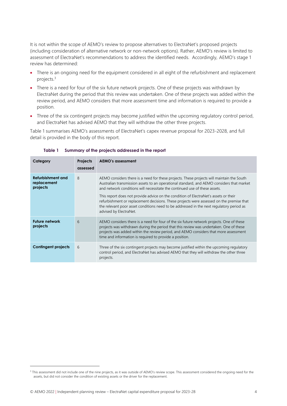It is not within the scope of AEMO's review to propose alternatives to ElectraNet's proposed projects (including consideration of alternative network or non-network options). Rather, AEMO's review is limited to assessment of ElectraNet's recommendations to address the identified needs. Accordingly, AEMO's stage 1 review has determined:

- There is an ongoing need for the equipment considered in all eight of the refurbishment and replacement projects. 3
- There is a need for four of the six future network projects. One of these projects was withdrawn by ElectraNet during the period that this review was undertaken. One of these projects was added within the review period, and AEMO considers that more assessment time and information is required to provide a position.
- Three of the six contingent projects may become justified within the upcoming regulatory control period, and ElectraNet has advised AEMO that they will withdraw the other three projects.

<span id="page-3-0"></span>[Table 1](#page-3-0) summarises AEMO's assessments of ElectraNet's capex revenue proposal for 2023-2028, and full detail is provided in the body of this report.

| Category                                     | <b>Projects</b><br>assessed | AEMO's assessment                                                                                                                                                                                                                                                                                                                                                                                                                                                                                                                                                              |
|----------------------------------------------|-----------------------------|--------------------------------------------------------------------------------------------------------------------------------------------------------------------------------------------------------------------------------------------------------------------------------------------------------------------------------------------------------------------------------------------------------------------------------------------------------------------------------------------------------------------------------------------------------------------------------|
| Refurbishment and<br>replacement<br>projects | 8                           | AEMO considers there is a need for these projects. These projects will maintain the South<br>Australian transmission assets to an operational standard, and AEMO considers that market<br>and network conditions will necessitate the continued use of these assets.<br>This report does not provide advice on the condition of ElectraNet's assets or their<br>refurbishment or replacement decisions. These projects were assessed on the premise that<br>the relevant poor asset conditions need to be addressed in the next regulatory period as<br>advised by ElectraNet. |
| <b>Future network</b><br>projects            | 6                           | AEMO considers there is a need for four of the six future network projects. One of these<br>projects was withdrawn during the period that this review was undertaken. One of these<br>projects was added within the review period, and AEMO considers that more assessment<br>time and information is required to provide a position.                                                                                                                                                                                                                                          |
| <b>Contingent projects</b>                   | 6                           | Three of the six contingent projects may become justified within the upcoming regulatory<br>control period, and ElectraNet has advised AEMO that they will withdraw the other three<br>projects.                                                                                                                                                                                                                                                                                                                                                                               |

#### **Table 1 Summary of the projects addressed in the report**

<sup>&</sup>lt;sup>3</sup> This assessment did not include one of the nine projects, as it was outside of AEMO's review scope. This assessment considered the ongoing need for the assets, but did not consider the condition of existing assets or the driver for the replacement.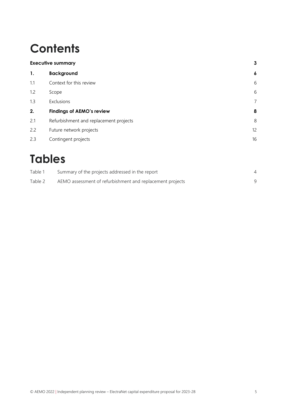# **Contents**

|     | <b>Executive summary</b>               |                  |
|-----|----------------------------------------|------------------|
| 1.  | <b>Background</b>                      | $\boldsymbol{6}$ |
| 1.1 | Context for this review                | 6                |
| 1.2 | Scope                                  | 6                |
| 1.3 | Exclusions                             | 7                |
| 2.  | <b>Findings of AEMO's review</b>       | 8                |
| 2.1 | Refurbishment and replacement projects | 8                |
| 2.2 | Future network projects                | 12               |
| 2.3 | Contingent projects                    | 16               |

# **Tables**

| Table 1 | Summary of the projects addressed in the report           |  |
|---------|-----------------------------------------------------------|--|
| Table 2 | AEMO assessment of refurbishment and replacement projects |  |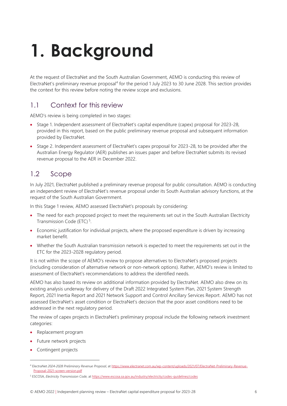# <span id="page-5-0"></span>**1. Background**

At the request of ElectraNet and the South Australian Government, AEMO is conducting this review of ElectraNet's preliminary revenue proposal<sup>4</sup> for the period 1 July 2023 to 30 June 2028. This section provides the context for this review before noting the review scope and exclusions.

# <span id="page-5-1"></span>1.1 Context for this review

AEMO's review is being completed in two stages:

- Stage 1. Independent assessment of ElectraNet's capital expenditure (capex) proposal for 2023-28, provided in this report, based on the public preliminary revenue proposal and subsequent information provided by ElectraNet.
- Stage 2. Independent assessment of ElectraNet's capex proposal for 2023-28, to be provided after the Australian Energy Regulator (AER) publishes an issues paper and before ElectraNet submits its revised revenue proposal to the AER in December 2022.

# <span id="page-5-2"></span>1.2 Scope

In July 2021, ElectraNet published a preliminary revenue proposal for public consultation. AEMO is conducting an independent review of ElectraNet's revenue proposal under its South Australian advisory functions, at the request of the South Australian Government.

In this Stage 1 review, AEMO assessed ElectraNet's proposals by considering:

- The need for each proposed project to meet the requirements set out in the South Australian Electricity Transmission Code (ETC)<sup>5</sup>.
- Economic justification for individual projects, where the proposed expenditure is driven by increasing market benefit.
- Whether the South Australian transmission network is expected to meet the requirements set out in the ETC for the 2023-2028 regulatory period.

It is not within the scope of AEMO's review to propose alternatives to ElectraNet's proposed projects (including consideration of alternative network or non-network options). Rather, AEMO's review is limited to assessment of ElectraNet's recommendations to address the identified needs.

AEMO has also based its review on additional information provided by ElectraNet. AEMO also drew on its existing analysis underway for delivery of the Draft 2022 Integrated System Plan, 2021 System Strength Report, 2021 Inertia Report and 2021 Network Support and Control Ancillary Services Report. AEMO has not assessed ElectraNet's asset condition or ElectraNet's decision that the poor asset conditions need to be addressed in the next regulatory period.

The review of capex projects in ElectraNet's preliminary proposal include the following network investment categories:

- Replacement program
- Future network projects
- Contingent projects

<sup>4</sup> ElectraNet *2024-2028 Preliminary Revenue Proposal*, a[t https://www.electranet.com.au/wp-content/uploads/2021/07/ElectraNet-Preliminary-Revenue-](https://www.electranet.com.au/wp-content/uploads/2021/07/ElectraNet-Preliminary-Revenue-Proposal-2021-screen-version.pdf)[Proposal-2021-screen-version.pdf](https://www.electranet.com.au/wp-content/uploads/2021/07/ElectraNet-Preliminary-Revenue-Proposal-2021-screen-version.pdf)

<sup>5</sup> ESCOSA, *Electricity Transmission Code,* a[t https://www.escosa.sa.gov.au/industry/electricity/codes-guidelines/codes](https://www.escosa.sa.gov.au/industry/electricity/codes-guidelines/codes)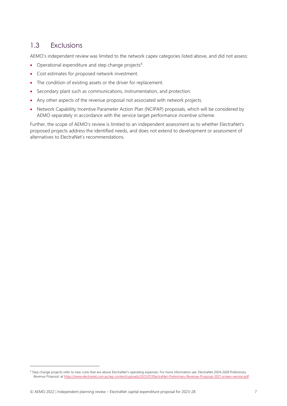# <span id="page-6-0"></span>1.3 Exclusions

AEMO's independent review was limited to the network capex categories listed above, and did not assess:

- Operational expenditure and step change projects<sup>6</sup>.
- Cost estimates for proposed network investment.
- The condition of existing assets or the driver for replacement.
- Secondary plant such as communications, instrumentation, and protection.
- Any other aspects of the revenue proposal not associated with network projects.
- Network Capability Incentive Parameter Action Plan (NCIPAP) proposals, which will be considered by AEMO separately in accordance with the service target performance incentive scheme.

Further, the scope of AEMO's review is limited to an independent assessment as to whether ElectraNet's proposed projects address the identified needs, and does not extend to development or assessment of alternatives to ElectraNet's recommendations.

<sup>6</sup> Step change projects refer to new costs that are above ElectraNet's operating expenses. For more information see: ElectraNet *2024-2028 Preliminary Revenue Proposal*, at<https://www.electranet.com.au/wp-content/uploads/2021/07/ElectraNet-Preliminary-Revenue-Proposal-2021-screen-version.pdf>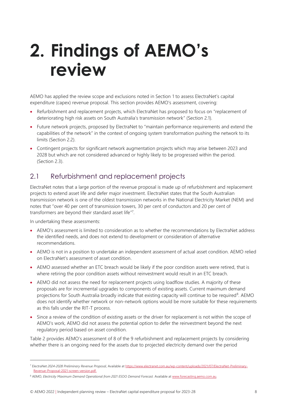# <span id="page-7-0"></span>**2. Findings of AEMO's review**

AEMO has applied the review scope and exclusions noted in Section [1](#page-5-0) to assess ElectraNet's capital expenditure (capex) revenue proposal. This section provides AEMO's assessment, covering:

- Refurbishment and replacement projects, which ElectraNet has proposed to focus on "replacement of deteriorating high risk assets on South Australia's transmission network" (Section [2.1\)](#page-7-1).
- Future network projects, proposed by ElectraNet to "maintain performance requirements and extend the capabilities of the network" in the context of ongoing system transformation pushing the network to its limits (Section [2.2\)](#page-11-0).
- Contingent projects for significant network augmentation projects which may arise between 2023 and 2028 but which are not considered advanced or highly likely to be progressed within the period. (Section [2.3\)](#page-15-0).

# <span id="page-7-1"></span>2.1 Refurbishment and replacement projects

ElectraNet notes that a large portion of the revenue proposal is made up of refurbishment and replacement projects to extend asset life and defer major investment. ElectraNet states that the South Australian transmission network is one of the oldest transmission networks in the National Electricity Market (NEM) and notes that "over 40 per cent of transmission towers, 30 per cent of conductors and 20 per cent of transformers are beyond their standard asset life"<sup>7</sup>.

In undertaking these assessments:

- AEMO's assessment is limited to consideration as to whether the recommendations by ElectraNet address the identified needs, and does not extend to development or consideration of alternative recommendations.
- AEMO is not in a position to undertake an independent assessment of actual asset condition. AEMO relied on ElectraNet's assessment of asset condition.
- AEMO assessed whether an ETC breach would be likely if the poor condition assets were retired, that is where retiring the poor condition assets without reinvestment would result in an ETC breach.
- AEMO did not assess the need for replacement projects using loadflow studies. A majority of these proposals are for incremental upgrades to components of existing assets. Current maximum demand projections for South Australia broadly indicate that existing capacity will continue to be required<sup>8</sup>. AEMO does not identify whether network or non-network options would be more suitable for these requirements as this falls under the RIT-T process.
- Since a review of the condition of existing assets or the driver for replacement is not within the scope of AEMO's work, AEMO did not assess the potential option to defer the reinvestment beyond the next regulatory period based on asset condition.

[Table 2](#page-8-0) provides AEMO's assessment of 8 of the 9 refurbishment and replacement projects by considering whether there is an ongoing need for the assets due to projected electricity demand over the period

<sup>7</sup> ElectraNet *2024-2028 Preliminary Revenue Proposal*, Available a[t https://www.electranet.com.au/wp-content/uploads/2021/07/ElectraNet-Preliminary-](https://www.electranet.com.au/wp-content/uploads/2021/07/ElectraNet-Preliminary-Revenue-Proposal-2021-screen-version.pdf)[Revenue-Proposal-2021-screen-version.pdf.](https://www.electranet.com.au/wp-content/uploads/2021/07/ElectraNet-Preliminary-Revenue-Proposal-2021-screen-version.pdf)

<sup>8</sup> AEMO, *Electricity Maximum Demand Operational from 2021 ESOO Demand Forecast.* Available a[t www.forecasting.aemo.com.au.](http://www.forecasting.aemo.com.au/)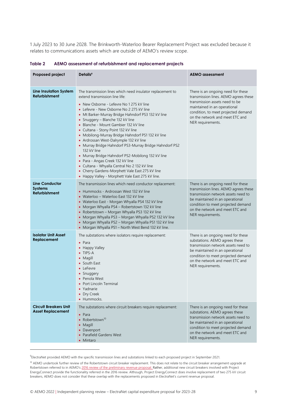1 July 2023 to 30 June 2028. The Brinkworth-Waterloo Bearer Replacement Project was excluded because it relates to communications assets which are outside of AEMO's review scope.

| <b>Proposed project</b>                                         | Details <sup>9</sup>                                                                                                                                                                                                                                                                                                                                                                                                                                                                                                                                                                                                                                                                                                                                                                    | <b>AEMO</b> assessment                                                                                                                                                                                                                              |
|-----------------------------------------------------------------|-----------------------------------------------------------------------------------------------------------------------------------------------------------------------------------------------------------------------------------------------------------------------------------------------------------------------------------------------------------------------------------------------------------------------------------------------------------------------------------------------------------------------------------------------------------------------------------------------------------------------------------------------------------------------------------------------------------------------------------------------------------------------------------------|-----------------------------------------------------------------------------------------------------------------------------------------------------------------------------------------------------------------------------------------------------|
| <b>Line Insulation System</b><br><b>Refurbishment</b>           | The transmission lines which need insulator replacement to<br>extend transmission line life:<br>• New Osborne - Lefevre No 1 275 kV line<br>• Lefevre - New Osborne No 2 275 kV line<br>• Mt Barker-Murray Bridge Hahndorf PS3 132 kV line<br>• Snuggery - Blanche 132 kV line<br>• Blanche - Mount Gambier 132 kV line<br>• Cultana - Stony Point 132 kV line<br>• Mobilong-Murray Bridge Hahndorf PS1 132 kV line<br>• Ardrossan West-Dalrymple 132 kV line<br>• Murray Bridge Hahndorf PS3-Murray Bridge Hahndorf PS2<br>132 kV line<br>• Murray Bridge Hahndorf PS2-Mobilong 132 kV line<br>• Para - Angas Creek 132 kV line<br>• Cultana - Whyalla Central No 2 132 kV line<br>• Cherry Gardens-Morphett Vale East 275 kV line<br>• Happy Valley - Morphett Vale East 275 kV line. | There is an ongoing need for these<br>transmission lines. AEMO agrees these<br>transmission assets need to be<br>maintained in an operational<br>condition, to meet projected demand<br>on the network and meet ETC and<br>NER requirements.        |
| <b>Line Conductor</b><br><b>Systems</b><br><b>Refurbishment</b> | The transmission lines which need conductor replacement:<br>• Hummocks - Ardrossan West 132 kV line<br>• Waterloo – Waterloo East 132 kV line<br>• Waterloo East - Morgan Whyalla PS4 132 kV line<br>• Morgan Whyalla PS4 - Robertstown 132 kV line<br>• Robertstown - Morgan Whyalla PS3 132 kV line<br>• Morgan Whyalla PS3 - Morgan Whyalla PS2 132 kV line<br>• Morgan Whyalla PS2 - Morgan Whyalla PS1 132 kV line<br>• Morgan Whyalla PS1 - North West Bend 132 kV line.                                                                                                                                                                                                                                                                                                          | There is an ongoing need for these<br>transmission lines. AEMO agrees these<br>transmission network assets need to<br>be maintained in an operational<br>condition to meet projected demand<br>on the network and meet ETC and<br>NER requirements. |
| <b>Isolator Unit Asset</b><br>Replacement                       | The substations where isolators require replacement:<br>$\bullet$ Para<br>• Happy Valley<br>• TIPS-A<br>• Magill<br>• South East<br>• LeFevre<br>• Snuggery<br>• Penola West<br>• Port Lincoln Terminal<br>• Yadnarie<br>• Dry Creek<br>• Hummocks.                                                                                                                                                                                                                                                                                                                                                                                                                                                                                                                                     | There is an ongoing need for these<br>substations. AEMO agrees these<br>transmission network assets need to<br>be maintained in an operational<br>condition to meet projected demand<br>on the network and meet ETC and<br>NER requirements.        |
| <b>Circuit Breakers Unit</b><br><b>Asset Replacement</b>        | The substations where circuit breakers require replacement:<br>$\bullet$ Para<br>• Robertstown <sup>10</sup><br>• Magill<br>• Davenport<br>• Parafield Gardens West<br>• Mintaro                                                                                                                                                                                                                                                                                                                                                                                                                                                                                                                                                                                                        | There is an ongoing need for these<br>substations. AEMO agrees these<br>transmission network assets need to<br>be maintained in an operational<br>condition to meet projected demand<br>on the network and meet ETC and<br>NER requirements.        |

<span id="page-8-0"></span>**Table 2 AEMO assessment of refurbishment and replacement projects** 

<sup>&</sup>lt;sup>9</sup>ElectraNet provided AEMO with the specific transmission lines and substations linked to each proposed project in September 2021.

<sup>&</sup>lt;sup>10</sup> AEMO undertook further review of the Robertstown circuit breaker replacement. This does not relate to the circuit breaker arrangement upgrade at Robertstown referred to in AEMO's [2016 review of the preliminary revenue proposal. Rather,](https://www.aemo.com.au/-/media/files/electricity/nem/planning_and_forecasting/sa_advisory/2016/independent-planning-review-electranet-preliminary-capital-expenditure-projects.pdf?la=en) additional new circuit breakers involved with Project EnergyConnect provide the functionality referred in the [2016 review. A](https://urldefense.com/v3/__https:/protect-au.mimecast.com/s/a8cDCyoNgZivLmVINaVU_?domain=aemo.com.au__;!!HKeyBm8!GRJeB2__EU0_NirKc_PKlw5OLmHATNbWFCplbtkv7KCWrw5QOh9lhhOKAfWfppFrHDwC$)lthough, Project EnergyConnect does involve replacement of two 275 kV circuit breakers, AEMO does not consider that these overlap with the replacements proposed in ElectraNet's current revenue proposal.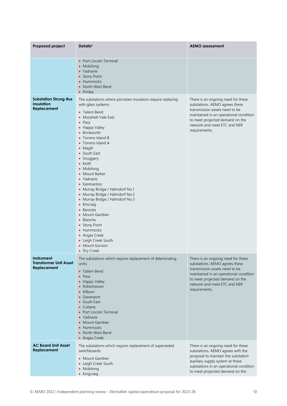| Proposed project                                                 | Details <sup>9</sup>                                                                                                                                                                                                                                                                                                                                                                                                                                                                                                                                                                                                       | <b>AEMO</b> assessment                                                                                                                                                                                                               |
|------------------------------------------------------------------|----------------------------------------------------------------------------------------------------------------------------------------------------------------------------------------------------------------------------------------------------------------------------------------------------------------------------------------------------------------------------------------------------------------------------------------------------------------------------------------------------------------------------------------------------------------------------------------------------------------------------|--------------------------------------------------------------------------------------------------------------------------------------------------------------------------------------------------------------------------------------|
|                                                                  | • Port Lincoln Terminal<br>• Mobilong<br>• Yadnarie<br>• Stony Point<br>• Hummocks<br>• North West Bend<br>$\bullet$ Pimba.                                                                                                                                                                                                                                                                                                                                                                                                                                                                                                |                                                                                                                                                                                                                                      |
| <b>Substation Strung-Bus</b><br><b>Insulation</b><br>Replacement | The substations where porcelain insulators require replacing<br>with glass systems:<br>• Tailem Bend<br>• Morphett Vale East<br>$\bullet$ Para<br>• Happy Valley<br>• Brinkworth<br>• Torrens Island B<br>• Torrens Island A<br>• Magill<br>• South East<br>• Snuggery<br>• Keith<br>• Mobilong<br>• Mount Barker<br>• Yadnarie<br>• Kanmantoo<br>• Murray Bridge / Hahndorf No.1<br>• Murray Bridge / Hahndorf No.2<br>• Murray Bridge / Hahndorf No.3<br>• Kincraig<br>• Baroota<br>• Mount Gambier<br>• Blanche<br>• Stony Point<br>• Hummocks<br>• Angas Creek<br>• Leigh Creek South<br>• Mount Gunson<br>• Dry Creek | There is an ongoing need for these<br>substations. AEMO agrees these<br>transmission assets need to be<br>maintained in an operational condition<br>to meet projected demand on the<br>network and meet ETC and NER<br>requirements. |
| Instrument<br><b>Transformer Unit Asset</b><br>Replacement       | The substations which require replacement of deteriorating<br>units:<br>• Tailem Bend<br>$\bullet$ Para<br>• Happy Valley<br>• Robertstown<br>• Kilburn<br>• Davenport<br>• South East<br>• Cultana<br>• Port Lincoln Terminal<br>• Yadnarie<br>• Mount Gambier<br>• Hummocks<br>• North West Bend<br>• Angas Creek                                                                                                                                                                                                                                                                                                        | There is an ongoing need for these<br>substations. AEMO agrees these<br>transmission assets need to be<br>maintained in an operational condition<br>to meet projected demand on the<br>network and meet ETC and NER<br>requirements. |
| <b>AC Board Unit Asset</b><br>Replacement                        | The substations which require replacement of superseded<br>switchboards:<br>• Mount Gambier<br>• Leigh Creek South<br>• Mobilong<br>• Kingcraig                                                                                                                                                                                                                                                                                                                                                                                                                                                                            | There is an ongoing need for these<br>substations. AEMO agrees with the<br>proposal to maintain the substation<br>auxiliary supply system at these<br>substations in an operational condition<br>to meet projected demand on the     |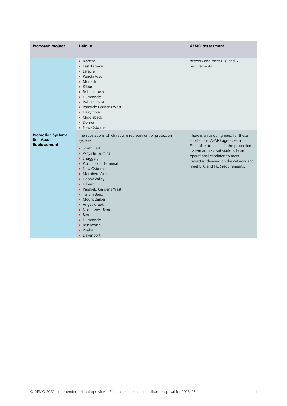| Proposed project                                              | Details <sup>9</sup>                                                                                                                                                                                                                                                                                                                                                                                  | <b>AEMO</b> assessment                                                                                                                                                                                                                                      |
|---------------------------------------------------------------|-------------------------------------------------------------------------------------------------------------------------------------------------------------------------------------------------------------------------------------------------------------------------------------------------------------------------------------------------------------------------------------------------------|-------------------------------------------------------------------------------------------------------------------------------------------------------------------------------------------------------------------------------------------------------------|
|                                                               | • Blanche<br>• East Terrace<br>• Lefevre<br>• Penola West<br>$\bullet$ Monash<br>• Kilburn<br>• Robertstown<br>• Hummocks<br>• Pelican Point<br>• Parafield Gardens West<br>• Dalrymple<br>• Middleback<br>• Dorrien<br>• New Osborne                                                                                                                                                                 | network and meet ETC and NER<br>requirements.                                                                                                                                                                                                               |
| <b>Protection Systems</b><br><b>Unit Asset</b><br>Replacement | The substations which require replacement of protection<br>systems:<br>• South East<br>• Whyalla Terminal<br>• Snuggery<br>• Port Lincoln Terminal<br>• New Osborne<br>• Morphett Vale<br>• Happy Valley<br>• Kilburn<br>• Parafield Gardens West<br>• Tailem Bend<br>• Mount Barker<br>• Angas Creek<br>• North West Bend<br>• Berri<br>• Hummocks<br>• Brinkworth<br>$\bullet$ Pimba<br>• Davenport | There is an ongoing need for these<br>substations. AEMO agrees with<br>ElectraNet to maintain the protection<br>system at these substations in an<br>operational condition to meet<br>projected demand on the network and<br>meet ETC and NER requirements. |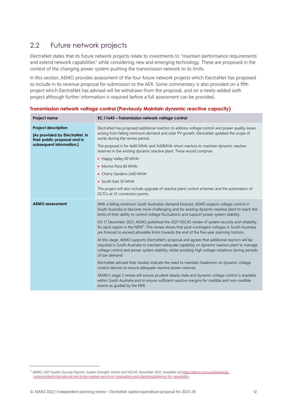# <span id="page-11-0"></span>2.2 Future network projects

ElectraNet states that its future network projects relate to investments to "maintain performance requirements and extend network capabilities" while considering new and emerging technology. These are proposed in the context of the changing power system pushing the transmission network to its limits.

In this section, AEMO provides assessment of the four future network projects which ElectraNet has proposed to include in its revenue proposal for submission to the AER. Some commentary is also provided on a fifth project which ElectraNet has advised will be withdrawn from the proposal, and on a newly-added sixth project although further information is required before a full assessment can be provided.

| Project name                                                                                 | EC.11645 - Transmission network voltage control                                                                                                                                                                                                                                                                           |
|----------------------------------------------------------------------------------------------|---------------------------------------------------------------------------------------------------------------------------------------------------------------------------------------------------------------------------------------------------------------------------------------------------------------------------|
| <b>Project description</b><br>[As provided by ElectraNet, in<br>their public proposal and in | ElectraNet has proposed additional reactors to address voltage control and power quality issues<br>arising from falling minimum demand and solar PV growth. ElectraNet updated the scope of<br>works during the review period.                                                                                            |
| subsequent information.]                                                                     | The proposal is for 4x60 MVAr and 1x50MVAr shunt reactors to maintain dynamic reactive<br>reserves in the existing dynamic reactive plant. These would comprise:                                                                                                                                                          |
|                                                                                              | • Happy Valley 60 MVAr                                                                                                                                                                                                                                                                                                    |
|                                                                                              | • Munno Para 60 MVAr                                                                                                                                                                                                                                                                                                      |
|                                                                                              | • Cherry Gardens 2x60 MVAr                                                                                                                                                                                                                                                                                                |
|                                                                                              | • South East 50 MVAr                                                                                                                                                                                                                                                                                                      |
|                                                                                              | The project will also include upgrade of reactive plant control schemes and the automation of<br>OLTCs at 32 connection points.                                                                                                                                                                                           |
| <b>AEMO</b> assessment                                                                       | With a falling minimum South Australian demand forecast, AEMO expects voltage control in<br>South Australia to become more challenging and for existing dynamic reactive plant to reach the<br>limits of their ability to control voltage fluctuations and support power system stability.                                |
|                                                                                              | On 17 December 2021, AEMO published the 2021 NSCAS review of system security and reliability<br>for each region in the NEM <sup>11</sup> . This review shows that post-contingent voltages in South Australia<br>are forecast to exceed allowable limits towards the end of the five-year planning horizon.               |
|                                                                                              | At this stage, AEMO supports ElectraNet's proposal and agrees that additional reactors will be<br>required in South Australia to maintain adequate capability on dynamic reactive plant to manage<br>voltage control and power system stability, whilst avoiding high voltage violations during periods<br>of low demand. |
|                                                                                              | ElectraNet advised their studies indicate the need to maintain headroom on dynamic voltage<br>control devices to ensure adequate reactive power reserves.                                                                                                                                                                 |
|                                                                                              | AEMO's stage 2 review will ensure prudent steady state and dynamic voltage control is available<br>within South Australia and to ensure sufficient reactive margins for credible and non-credible<br>events as quided by the NER.                                                                                         |

**Transmission network voltage control (Previously Maintain dynamic reactive capacity)** 

<sup>11</sup> AEMO. *2021 System Security Reports: System Strength, Inertia and NSCAS*. December 2021. Available vi[a https://aemo.com.au/en/energy](https://aemo.com.au/en/energy-systems/electricity/national-electricity-market-nem/nem-forecasting-and-planning/planning-for-operability)[systems/electricity/national-electricity-market-nem/nem-forecasting-and-planning/planning-for-operability.](https://aemo.com.au/en/energy-systems/electricity/national-electricity-market-nem/nem-forecasting-and-planning/planning-for-operability)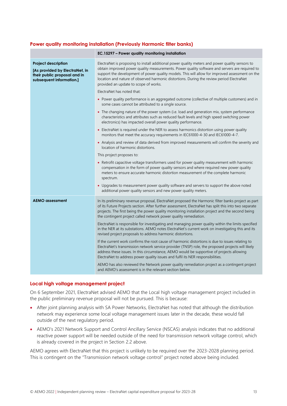#### **Power quality monitoring installation (Previously Harmonic filter banks)**

|                                                                                                                          | EC.15297 - Power quality monitoring installation                                                                                                                                                                                                                                                                                                                                                                                           |
|--------------------------------------------------------------------------------------------------------------------------|--------------------------------------------------------------------------------------------------------------------------------------------------------------------------------------------------------------------------------------------------------------------------------------------------------------------------------------------------------------------------------------------------------------------------------------------|
| <b>Project description</b><br>[As provided by ElectraNet, in<br>their public proposal and in<br>subsequent information.] | ElectraNet is proposing to install additional power quality meters and power quality sensors to<br>obtain improved power quality measurements. Power quality software and servers are required to<br>support the development of power quality models. This will allow for improved assessment on the<br>location and nature of observed harmonic distortions. During the review period ElectraNet<br>provided an update to scope of works. |
|                                                                                                                          | ElectraNet has noted that:                                                                                                                                                                                                                                                                                                                                                                                                                 |
|                                                                                                                          | • Power quality performance is an aggregated outcome (collective of multiple customers) and in<br>some cases cannot be attributed to a single source.                                                                                                                                                                                                                                                                                      |
|                                                                                                                          | • The changing nature of the power system (i.e. load and generation mix, system performance<br>characteristics and attributes such as reduced fault levels and high speed switching power<br>electronics) has impacted overall power quality performance.                                                                                                                                                                                  |
|                                                                                                                          | • ElectraNet is required under the NER to assess harmonics distortion using power quality<br>monitors that meet the accuracy requirements in IEC61000-4-30 and IEC61000-4-7.                                                                                                                                                                                                                                                               |
|                                                                                                                          | • Analysis and review of data derived from improved measurements will confirm the severity and<br>location of harmonic distortions.                                                                                                                                                                                                                                                                                                        |
|                                                                                                                          | This project proposes to:                                                                                                                                                                                                                                                                                                                                                                                                                  |
|                                                                                                                          | • Retrofit capacitive voltage transformers used for power quality measurement with harmonic<br>compensation in the form of power quality sensors and where required new power quality<br>meters to ensure accurate harmonic distortion measurement of the complete harmonic<br>spectrum.                                                                                                                                                   |
|                                                                                                                          | • Upgrades to measurement power quality software and servers to support the above noted<br>additional power quality sensors and new power quality meters.                                                                                                                                                                                                                                                                                  |
| <b>AEMO</b> assessment                                                                                                   | In its preliminary revenue proposal, ElectraNet proposed the Harmonic filter banks project as part<br>of its Future Projects section. After further assessment, ElectraNet has split this into two separate<br>projects. The first being the power quality monitoring installation project and the second being<br>the contingent project called network power quality remediation.                                                        |
|                                                                                                                          | ElectraNet is responsible for investigating and managing power quality within the limits specified<br>in the NER at its substations. AEMO notes ElectraNet's current work on investigating this and its<br>revised project proposals to address harmonic distortions.                                                                                                                                                                      |
|                                                                                                                          | If the current work confirms the root cause of harmonic distortions is due to issues relating to<br>ElectraNet's transmission network service provider (TNSP) role, the proposed projects will likely<br>address these issues. In this circumstance, AEMO would be supportive of projects allowing<br>ElectraNet to address power quality issues and fulfil its NER responsibilities.                                                      |
|                                                                                                                          | AEMO has also reviewed the Network power quality remediation project as a contingent project<br>and AEMO's assessment is in the relevant section below.                                                                                                                                                                                                                                                                                    |

#### **Local high voltage management project**

On 6 September 2021, ElectraNet advised AEMO that the Local high voltage management project included in the public preliminary revenue proposal will not be pursued. This is because:

- After joint planning analysis with SA Power Networks, ElectraNet has noted that although the distribution network may experience some local voltage management issues later in the decade, these would fall outside of the next regulatory period.
- AEMO's 2021 Network Support and Control Ancillary Service (NSCAS) analysis indicates that no additional reactive power support will be needed outside of the need for transmission network voltage control, which is already covered in the project in Section [2.2](#page-11-0) above.

AEMO agrees with ElectraNet that this project is unlikely to be required over the 2023-2028 planning period. This is contingent on the "Transmission network voltage control" project noted above being included.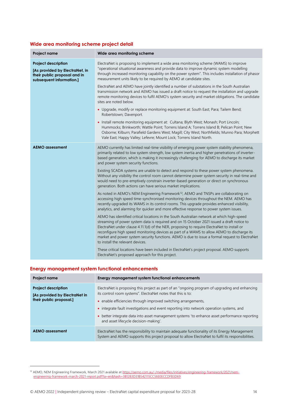### **Wide area monitoring scheme project detail**

| Project name                                                                                                             | Wide area monitoring scheme                                                                                                                                                                                                                                                                                                                                                                                                                                                                                                  |
|--------------------------------------------------------------------------------------------------------------------------|------------------------------------------------------------------------------------------------------------------------------------------------------------------------------------------------------------------------------------------------------------------------------------------------------------------------------------------------------------------------------------------------------------------------------------------------------------------------------------------------------------------------------|
| <b>Project description</b><br>[As provided by ElectraNet, in<br>their public proposal and in<br>subsequent information.] | ElectraNet is proposing to implement a wide area monitoring scheme (WAMS) to improve<br>"operational situational awareness and provide data to improve dynamic system modelling<br>through increased monitoring capability on the power system". This includes installation of phasor<br>measurement units likely to be required by AEMO at candidate sites.                                                                                                                                                                 |
|                                                                                                                          | ElectraNet and AEMO have jointly identified a number of substations in the South Australian<br>transmission network and AEMO has issued a draft notice to request the installation and upgrade<br>remote monitoring devices to fulfil AEMO's system security and market obligations. The candidate<br>sites are noted below.                                                                                                                                                                                                 |
|                                                                                                                          | • Upgrade, modify or replace monitoring equipment at: South East; Para; Tailem Bend;<br>Robertstown; Davenport.                                                                                                                                                                                                                                                                                                                                                                                                              |
|                                                                                                                          | • Install remote monitoring equipment at: Cultana; Blyth West; Monash; Port Lincoln;<br>Hummocks; Brinkworth; Wattle Point; Torrens Island A; Torrens Island B; Pelican Point; New<br>Osborne; Kilburn; Parafield Gardens West; Magill; City West; Northfields; Munno Para; Morphett<br>Vale East; Happy Valley; Lefevre; Mount Lock; Torrens Island North.                                                                                                                                                                  |
| <b>AEMO</b> assessment                                                                                                   | AEMO currently has limited real-time visibility of emerging power system stability phenomena,<br>primarily related to low system strength, low system inertia and higher penetrations of inverter-<br>based generation, which is making it increasingly challenging for AEMO to discharge its market<br>and power system security functions.                                                                                                                                                                                 |
|                                                                                                                          | Existing SCADA systems are unable to detect and respond to these power system phenomena.<br>Without any visibility the control room cannot determine power system security in real-time and<br>would need to pre-emptively constrain inverter-based generation or direct on synchronous<br>generation. Both actions can have serious market implications.                                                                                                                                                                    |
|                                                                                                                          | As noted in AEMO's NEM Engineering Framework <sup>12</sup> , AEMO and TNSPs are collaborating on<br>accessing high speed time-synchronised monitoring devices throughout the NEM. AEMO has<br>recently upgraded its WAMS in its control rooms. This upgrade provides enhanced visibility,<br>analytics, and alarming for quicker and more effective response to power system issues.                                                                                                                                         |
|                                                                                                                          | AEMO has identified critical locations in the South Australian network at which high-speed<br>streaming of power system data is required and on 15 October 2021 issued a draft notice to<br>ElectraNet under clause 4.11.1(d) of the NER, proposing to require ElectraNet to install or<br>reconfigure high speed monitoring devices as part of a WAMS to allow AEMO to discharge its<br>market and power system security functions. AEMO is due to issue a formal request to ElectraNet<br>to install the relevant devices. |
|                                                                                                                          | These critical locations have been included in ElectraNet's project proposal. AEMO supports<br>ElectraNet's proposed approach for this project.                                                                                                                                                                                                                                                                                                                                                                              |

### **Energy management system functional enhancements**

| <b>Project name</b>                                                                    | Energy management system functional enhancements                                                                                                                                                                                                                                                                                                                                                                                                                       |
|----------------------------------------------------------------------------------------|------------------------------------------------------------------------------------------------------------------------------------------------------------------------------------------------------------------------------------------------------------------------------------------------------------------------------------------------------------------------------------------------------------------------------------------------------------------------|
| <b>Project description</b><br>[As provided by ElectraNet in<br>their public proposal.] | ElectraNet is proposing this project as part of an "ongoing program of upgrading and enhancing<br>its control room systems". ElectraNet notes that this is to:<br>• enable efficiencies through improved switching arrangements,<br>• integrate fault investigations and event reporting into network operation systems, and<br>• better integrate data into asset management systems 'to enhance asset performance reporting<br>and asset lifecycle decision-making'. |
| <b>AEMO</b> assessment                                                                 | ElectraNet has the responsibility to maintain adequate functionality of its Energy Management<br>System and AEMO supports this project proposal to allow ElectraNet to fulfil its responsibilities.                                                                                                                                                                                                                                                                    |

<sup>&</sup>lt;sup>12</sup> AEMO, NEM Engineering Framework, March 2021 available a[t https://aemo.com.au/-/media/files/initiatives/engineering-framework/2021/nem](https://aemo.com.au/-/media/files/initiatives/engineering-framework/2021/nem-engineering-framework-march-2021-report.pdf?la=en&hash=3B1283D31B542115CC56E0ECCDFB3D69)[engineering-framework-march-2021-report.pdf?la=en&hash=3B1283D31B542115CC56E0ECCDFB3D69](https://aemo.com.au/-/media/files/initiatives/engineering-framework/2021/nem-engineering-framework-march-2021-report.pdf?la=en&hash=3B1283D31B542115CC56E0ECCDFB3D69)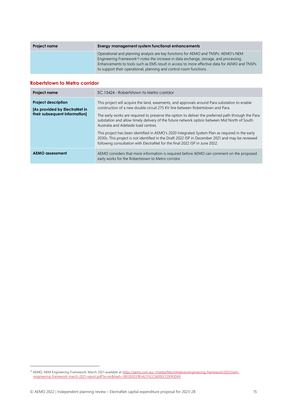| <b>Project name</b> | Energy management system functional enhancements                                                                                                                                                                                                                                                                                                              |
|---------------------|---------------------------------------------------------------------------------------------------------------------------------------------------------------------------------------------------------------------------------------------------------------------------------------------------------------------------------------------------------------|
|                     | Operational and planning analysis are key functions for AEMO and TNSPs. AEMO's NEM<br>Engineering Framework <sup>13</sup> notes the increase in data exchange, storage, and processing.<br>Enhancements to tools such as EMS result in access to more effective data for AEMO and TNSPs<br>to support their operational, planning and control room functions. |

#### **Robertstown to Metro corridor**

| <b>Project name</b>                                                                          | EC.15424 - Robertstown to Metro corridor                                                                                                                                                                                                                                                                                                                                                                                                                                                                                                                                                                                                                                                                            |
|----------------------------------------------------------------------------------------------|---------------------------------------------------------------------------------------------------------------------------------------------------------------------------------------------------------------------------------------------------------------------------------------------------------------------------------------------------------------------------------------------------------------------------------------------------------------------------------------------------------------------------------------------------------------------------------------------------------------------------------------------------------------------------------------------------------------------|
| <b>Project description</b><br>[As provided by ElectraNet in<br>their subsequent information] | This project will acquire the land, easements, and approvals around Para substation to enable<br>construction of a new double circuit 275 KV line between Robertstown and Para.<br>The early works are required to preserve the option to deliver the preferred path through the Para<br>substation and allow timely delivery of the future network option between Mid North of South<br>Australia and Adelaide load centres.<br>This project has been identified in AEMO's 2020 Integrated System Plan as required in the early<br>2030s. This project is not identified in the Draft 2022 ISP in December 2021 and may be reviewed<br>following consultation with ElectraNet for the final 2022 ISP in June 2022. |
| AEMO assessment                                                                              | AEMO considers that more information is required before AEMO can comment on the proposed<br>early works for the Robertstown to Metro corridor.                                                                                                                                                                                                                                                                                                                                                                                                                                                                                                                                                                      |

<sup>&</sup>lt;sup>13</sup> AEMO, NEM Engineering Framework, March 2021 available a[t https://aemo.com.au/-/media/files/initiatives/engineering-framework/2021/nem](https://aemo.com.au/-/media/files/initiatives/engineering-framework/2021/nem-engineering-framework-march-2021-report.pdf?la=en&hash=3B1283D31B542115CC56E0ECCDFB3D69)[engineering-framework-march-2021-report.pdf?la=en&hash=3B1283D31B542115CC56E0ECCDFB3D69](https://aemo.com.au/-/media/files/initiatives/engineering-framework/2021/nem-engineering-framework-march-2021-report.pdf?la=en&hash=3B1283D31B542115CC56E0ECCDFB3D69)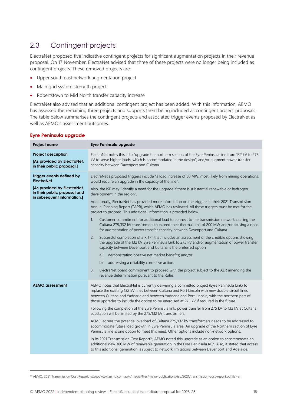# <span id="page-15-0"></span>2.3 Contingent projects

ElectraNet proposed five indicative contingent projects for significant augmentation projects in their revenue proposal. On 17 November, ElectraNet advised that three of these projects were no longer being included as contingent projects. These removed projects are:

- Upper south east network augmentation project
- Main grid system strength project
- Robertstown to Mid North transfer capacity increase

ElectraNet also advised that an additional contingent project has been added. With this information, AEMO has assessed the remaining three projects and supports them being included as contingent project proposals. The table below summarises the contingent projects and associated trigger events proposed by ElectraNet as well as AEMO's assessment outcomes.

| Project name                                                                               | Eyre Peninsula upgrade                                                                                                                                                                                                                                                                                                                                                                            |
|--------------------------------------------------------------------------------------------|---------------------------------------------------------------------------------------------------------------------------------------------------------------------------------------------------------------------------------------------------------------------------------------------------------------------------------------------------------------------------------------------------|
| <b>Project description</b><br>[As provided by ElectraNet,<br>in their public proposal.]    | ElectraNet notes this is to "upgrade the northern section of the Eyre Peninsula line from 132 kV to 275<br>kV to serve higher loads, which is accommodated in the design", and/or augment power transfer<br>capacity between Davenport and Cultana.                                                                                                                                               |
| Trigger events defined by<br><b>ElectraNet</b>                                             | ElectraNet's proposed triggers include "a load increase of 50 MW, most likely from mining operations,<br>would require an upgrade in the capacity of the line".                                                                                                                                                                                                                                   |
| [As provided by ElectraNet,<br>in their public proposal and<br>in subsequent information.] | Also, the ISP may "identify a need for the upgrade if there is substantial renewable or hydrogen<br>development in the region".                                                                                                                                                                                                                                                                   |
|                                                                                            | Additionally, ElectraNet has provided more information on the triggers in their 2021 Transmission<br>Annual Planning Report (TAPR), which AEMO has reviewed. All these triggers must be met for the<br>project to proceed. This additional information is provided below.                                                                                                                         |
|                                                                                            | Customer commitment for additional load to connect to the transmission network causing the<br>1.<br>Cultana 275/132 kV transformers to exceed their thermal limit of 200 MW and/or causing a need<br>for augmentation of power transfer capacity between Davenport and Cultana.                                                                                                                   |
|                                                                                            | 2.<br>Successful completion of a RIT-T that includes an assessment of the credible options showing<br>the upgrade of the 132 kV Eyre Peninsula Link to 275 kV and/or augmentation of power transfer<br>capacity between Davenport and Cultana is the preferred option                                                                                                                             |
|                                                                                            | demonstrating positive net market benefits; and/or<br>a)                                                                                                                                                                                                                                                                                                                                          |
|                                                                                            | addressing a reliability corrective action.<br>b)                                                                                                                                                                                                                                                                                                                                                 |
|                                                                                            | 3.<br>ElectraNet board commitment to proceed with the project subject to the AER amending the<br>revenue determination pursuant to the Rules.                                                                                                                                                                                                                                                     |
| <b>AEMO</b> assessment                                                                     | AEMO notes that ElectraNet is currently delivering a committed project (Eyre Peninsula Link) to<br>replace the existing 132 kV lines between Cultana and Port Lincoln with new double circuit lines<br>between Cultana and Yadnarie and between Yadnarie and Port Lincoln, with the northern part of<br>those upgrades to include the option to be energised at 275 kV if required in the future. |
|                                                                                            | Following the completion of the Eyre Peninsula link, power transfer from 275 kV to 132 kV at Cultana<br>substation will be limited by the 275/132 kV transformers.                                                                                                                                                                                                                                |
|                                                                                            | AEMO agrees the potential overload of Cultana 275/132 kV transformers needs to be addressed to<br>accommodate future load growth in Eyre Peninsula area. An upgrade of the Northern section of Eyre<br>Peninsula line is one option to meet this need. Other options include non-network options.                                                                                                 |
|                                                                                            | In its 2021 Transmission Cost Report <sup>14</sup> , AEMO noted this upgrade as an option to accommodate an<br>additional new 300 MW of renewable generation in the Eyre Peninsula REZ. Also, it stated that access<br>to this additional generation is subject to network limitations between Davenport and Adelaide.                                                                            |
|                                                                                            |                                                                                                                                                                                                                                                                                                                                                                                                   |

#### **Eyre Peninsula upgrade**

<sup>14</sup> AEMO. 2021 Transmission Cost Report. https://www.aemo.com.au/-/media/files/major-publications/isp/2021/transmission-cost-report.pdf?la=en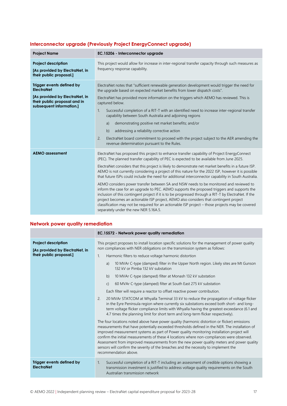| <b>Project Name</b>                                                                                                                          | EC.15206 - Interconnector upgrade                                                                                                                                                                                                                                                                                                                                                                                                                                                                                                                                                                                                                                                                                                                                                                                                                                                                                                                                                                                                                        |
|----------------------------------------------------------------------------------------------------------------------------------------------|----------------------------------------------------------------------------------------------------------------------------------------------------------------------------------------------------------------------------------------------------------------------------------------------------------------------------------------------------------------------------------------------------------------------------------------------------------------------------------------------------------------------------------------------------------------------------------------------------------------------------------------------------------------------------------------------------------------------------------------------------------------------------------------------------------------------------------------------------------------------------------------------------------------------------------------------------------------------------------------------------------------------------------------------------------|
| <b>Project description</b><br>[As provided by ElectraNet, in<br>their public proposal.]                                                      | This project would allow for increase in inter-regional transfer capacity through such measures as<br>frequency response capability.                                                                                                                                                                                                                                                                                                                                                                                                                                                                                                                                                                                                                                                                                                                                                                                                                                                                                                                     |
| Trigger events defined by<br><b>ElectraNet</b><br>[As provided by ElectraNet, in<br>their public proposal and in<br>subsequent information.] | ElectraNet notes that "sufficient renewable generation development would trigger the need for<br>the upgrade based on expected market benefits from lower dispatch costs".<br>ElectraNet has provided more information on the triggers which AEMO has reviewed. This is<br>captured below.<br>Successful completion of a RIT-T with an identified need to increase inter-regional transfer<br>1 <sub>1</sub><br>capability between South Australia and adjoining regions<br>demonstrating positive net market benefits; and/or<br>a)<br>addressing a reliability corrective action<br>b)<br>2.<br>ElectraNet board commitment to proceed with the project subject to the AER amending the<br>revenue determination pursuant to the Rules.                                                                                                                                                                                                                                                                                                                |
| <b>AEMO</b> assessment                                                                                                                       | ElectraNet has proposed this project to enhance transfer capability of Project EnergyConnect<br>(PEC). The planned transfer capability of PEC is expected to be available from June 2025.<br>ElectraNet considers that this project is likely to demonstrate net market benefits in a future ISP.<br>AEMO is not currently considering a project of this nature for the 2022 ISP, however it is possible<br>that future ISPs could include the need for additional interconnector capability in South Australia.<br>AEMO considers power transfer between SA and NSW needs to be monitored and reviewed to<br>inform the case for an upgrade to PEC. AEMO supports the proposed triggers and supports the<br>inclusion of this contingent project if it is to be progressed through a RIT-T by ElectraNet. If the<br>project becomes an actionable ISP project, AEMO also considers that contingent project<br>classification may not be required for an actionable ISP project – those projects may be covered<br>separately under the new NER 5.16A.5. |

## **Interconnector upgrade (Previously Project EnergyConnect upgrade)**

### **Network power quality remediation**

|                                                                                         | EC.15572 - Network power quality remediation                                                                                                                                                                                                                                                                                                                                                                                                                                                                                                                                                             |
|-----------------------------------------------------------------------------------------|----------------------------------------------------------------------------------------------------------------------------------------------------------------------------------------------------------------------------------------------------------------------------------------------------------------------------------------------------------------------------------------------------------------------------------------------------------------------------------------------------------------------------------------------------------------------------------------------------------|
| <b>Project description</b><br>[As provided by ElectraNet, in<br>their public proposal.] | This project proposes to install location specific solutions for the management of power quality<br>non compliances with NER obligations on the transmission system as follows:                                                                                                                                                                                                                                                                                                                                                                                                                          |
|                                                                                         | Harmonic filters to reduce voltage harmonic distortion<br>$\mathbf{1}$ .                                                                                                                                                                                                                                                                                                                                                                                                                                                                                                                                 |
|                                                                                         | 10 MVAr C-type (damped) filter in the Upper North region. Likely sites are Mt Gunson<br>a)<br>132 kV or Pimba 132 kV substation                                                                                                                                                                                                                                                                                                                                                                                                                                                                          |
|                                                                                         | 10 MVAr C-type (damped) filter at Monash 132 kV substation<br>b)                                                                                                                                                                                                                                                                                                                                                                                                                                                                                                                                         |
|                                                                                         | 60 MVAr C-type (damped) filter at South East 275 kV substation<br>$\mathsf{C}$                                                                                                                                                                                                                                                                                                                                                                                                                                                                                                                           |
|                                                                                         | Each filter will require a reactor to offset reactive power contribution.                                                                                                                                                                                                                                                                                                                                                                                                                                                                                                                                |
|                                                                                         | 20 MVAr STATCOM at Whyalla Terminal 33 kV to reduce the propagation of voltage flicker<br>2.<br>in the Eyre Peninsula region where currently six substations exceed both short- and long-<br>term voltage flicker compliance limits with Whyalla having the greatest exceedance (6.1 and<br>4.7 times the planning limit for short term and long-term flicker respectively).                                                                                                                                                                                                                             |
|                                                                                         | The four locations noted above have power quality (harmonic distortion or flicker) emissions<br>measurements that have potentially exceeded thresholds defined in the NER. The installation of<br>improved measurement systems as part of Power quality monitoring installation project will<br>confirm the initial measurements of these 4 locations where non-compliances were observed.<br>Assessment from improved measurements from the new power quality meters and power quality<br>sensors will confirm the severity of the breaches and the necessity to implement the<br>recommendation above. |
| Trigger events defined by<br><b>ElectraNet</b>                                          | Successful completion of a RIT-T including an assessment of credible options showing a<br>1.<br>transmission investment is justified to address voltage quality requirements on the South<br>Australian transmission network                                                                                                                                                                                                                                                                                                                                                                             |